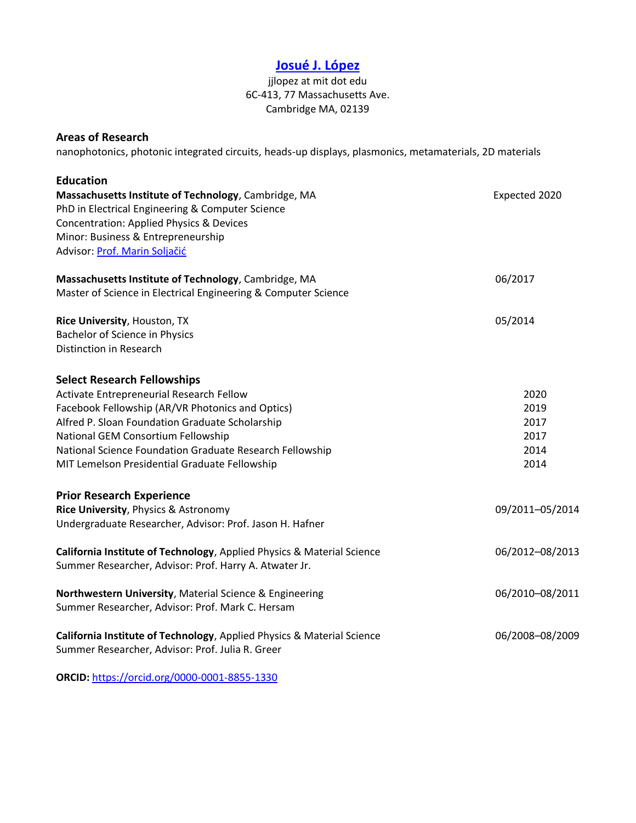# **[Josué J. López](https://www.linkedin.com/in/josu%C3%A9-j-l%C3%B3pez-75523a23/)**

### jjlopez at mit dot edu 6C-413, 77 Massachusetts Ave. Cambridge MA, 02139

#### **Areas of Research**

nanophotonics, photonic integrated circuits, heads-up displays, plasmonics, metamaterials, 2D materials

| <b>Education</b>                                                       |                 |
|------------------------------------------------------------------------|-----------------|
| Massachusetts Institute of Technology, Cambridge, MA                   | Expected 2020   |
| PhD in Electrical Engineering & Computer Science                       |                 |
| Concentration: Applied Physics & Devices                               |                 |
| Minor: Business & Entrepreneurship                                     |                 |
| Advisor: Prof. Marin Soljačić                                          |                 |
| Massachusetts Institute of Technology, Cambridge, MA                   | 06/2017         |
| Master of Science in Electrical Engineering & Computer Science         |                 |
| Rice University, Houston, TX                                           | 05/2014         |
| Bachelor of Science in Physics                                         |                 |
| Distinction in Research                                                |                 |
| <b>Select Research Fellowships</b>                                     |                 |
| Activate Entrepreneurial Research Fellow                               | 2020            |
| Facebook Fellowship (AR/VR Photonics and Optics)                       | 2019            |
| Alfred P. Sloan Foundation Graduate Scholarship                        | 2017            |
| National GEM Consortium Fellowship                                     | 2017            |
| National Science Foundation Graduate Research Fellowship               | 2014            |
| MIT Lemelson Presidential Graduate Fellowship                          | 2014            |
| <b>Prior Research Experience</b>                                       |                 |
| Rice University, Physics & Astronomy                                   | 09/2011-05/2014 |
| Undergraduate Researcher, Advisor: Prof. Jason H. Hafner               |                 |
| California Institute of Technology, Applied Physics & Material Science | 06/2012-08/2013 |
| Summer Researcher, Advisor: Prof. Harry A. Atwater Jr.                 |                 |
| Northwestern University, Material Science & Engineering                | 06/2010-08/2011 |
| Summer Researcher, Advisor: Prof. Mark C. Hersam                       |                 |
| California Institute of Technology, Applied Physics & Material Science | 06/2008-08/2009 |
| Summer Researcher, Advisor: Prof. Julia R. Greer                       |                 |
|                                                                        |                 |

**ORCID:** <https://orcid.org/0000-0001-8855-1330>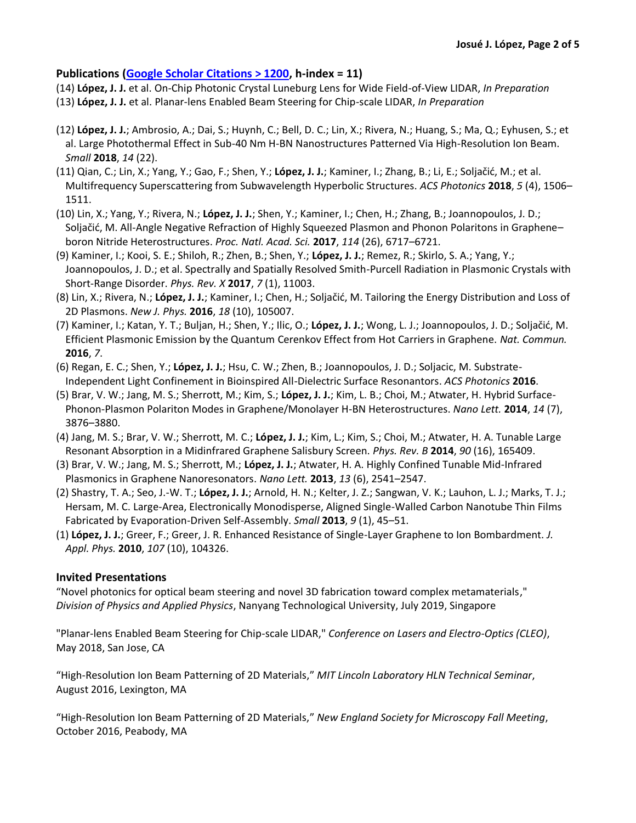### **Publications [\(Google Scholar Citations > 1200,](https://scholar.google.com/citations?user=T4eZdKYAAAAJ&hl=en) h-index = 11)**

- (14) **López, J. J.** et al. On-Chip Photonic Crystal Luneburg Lens for Wide Field-of-View LIDAR, *In Preparation*
- (13) **López, J. J.** et al. Planar-lens Enabled Beam Steering for Chip-scale LIDAR, *In Preparation*
- (12) **López, J. J.**; Ambrosio, A.; Dai, S.; Huynh, C.; Bell, D. C.; Lin, X.; Rivera, N.; Huang, S.; Ma, Q.; Eyhusen, S.; et al. Large Photothermal Effect in Sub-40 Nm H-BN Nanostructures Patterned Via High-Resolution Ion Beam. *Small* **2018**, *14* (22).
- (11) Qian, C.; Lin, X.; Yang, Y.; Gao, F.; Shen, Y.; **López, J. J.**; Kaminer, I.; Zhang, B.; Li, E.; Soljačić, M.; et al. Multifrequency Superscattering from Subwavelength Hyperbolic Structures. *ACS Photonics* **2018**, *5* (4), 1506– 1511.
- (10) Lin, X.; Yang, Y.; Rivera, N.; **López, J. J.**; Shen, Y.; Kaminer, I.; Chen, H.; Zhang, B.; Joannopoulos, J. D.; Soljačić, M. All-Angle Negative Refraction of Highly Squeezed Plasmon and Phonon Polaritons in Graphene– boron Nitride Heterostructures. *Proc. Natl. Acad. Sci.* **2017**, *114* (26), 6717–6721.
- (9) Kaminer, I.; Kooi, S. E.; Shiloh, R.; Zhen, B.; Shen, Y.; **López, J. J.**; Remez, R.; Skirlo, S. A.; Yang, Y.; Joannopoulos, J. D.; et al. Spectrally and Spatially Resolved Smith-Purcell Radiation in Plasmonic Crystals with Short-Range Disorder. *Phys. Rev. X* **2017**, *7* (1), 11003.
- (8) Lin, X.; Rivera, N.; **López, J. J.**; Kaminer, I.; Chen, H.; Soljačić, M. Tailoring the Energy Distribution and Loss of 2D Plasmons. *New J. Phys.* **2016**, *18* (10), 105007.
- (7) Kaminer, I.; Katan, Y. T.; Buljan, H.; Shen, Y.; Ilic, O.; **López, J. J.**; Wong, L. J.; Joannopoulos, J. D.; Soljačić, M. Efficient Plasmonic Emission by the Quantum Cerenkov Effect from Hot Carriers in Graphene. *Nat. Commun.* **2016**, *7*.
- (6) Regan, E. C.; Shen, Y.; **López, J. J.**; Hsu, C. W.; Zhen, B.; Joannopoulos, J. D.; Soljacic, M. Substrate-Independent Light Confinement in Bioinspired All-Dielectric Surface Resonantors. *ACS Photonics* **2016**.
- (5) Brar, V. W.; Jang, M. S.; Sherrott, M.; Kim, S.; **López, J. J.**; Kim, L. B.; Choi, M.; Atwater, H. Hybrid Surface-Phonon-Plasmon Polariton Modes in Graphene/Monolayer H-BN Heterostructures. *Nano Lett.* **2014**, *14* (7), 3876–3880.
- (4) Jang, M. S.; Brar, V. W.; Sherrott, M. C.; **López, J. J.**; Kim, L.; Kim, S.; Choi, M.; Atwater, H. A. Tunable Large Resonant Absorption in a Midinfrared Graphene Salisbury Screen. *Phys. Rev. B* **2014**, *90* (16), 165409.
- (3) Brar, V. W.; Jang, M. S.; Sherrott, M.; **López, J. J.**; Atwater, H. A. Highly Confined Tunable Mid-Infrared Plasmonics in Graphene Nanoresonators. *Nano Lett.* **2013**, *13* (6), 2541–2547.
- (2) Shastry, T. A.; Seo, J.-W. T.; **López, J. J.**; Arnold, H. N.; Kelter, J. Z.; Sangwan, V. K.; Lauhon, L. J.; Marks, T. J.; Hersam, M. C. Large-Area, Electronically Monodisperse, Aligned Single-Walled Carbon Nanotube Thin Films Fabricated by Evaporation-Driven Self-Assembly. *Small* **2013**, *9* (1), 45–51.
- (1) **López, J. J.**; Greer, F.; Greer, J. R. Enhanced Resistance of Single-Layer Graphene to Ion Bombardment. *J. Appl. Phys.* **2010**, *107* (10), 104326.

### **Invited Presentations**

"Novel photonics for optical beam steering and novel 3D fabrication toward complex metamaterials," *Division of Physics and Applied Physics*, Nanyang Technological University, July 2019, Singapore

"Planar-lens Enabled Beam Steering for Chip-scale LIDAR," *Conference on Lasers and Electro-Optics (CLEO)*, May 2018, San Jose, CA

"High-Resolution Ion Beam Patterning of 2D Materials," *MIT Lincoln Laboratory HLN Technical Seminar*, August 2016, Lexington, MA

"High-Resolution Ion Beam Patterning of 2D Materials," *New England Society for Microscopy Fall Meeting*, October 2016, Peabody, MA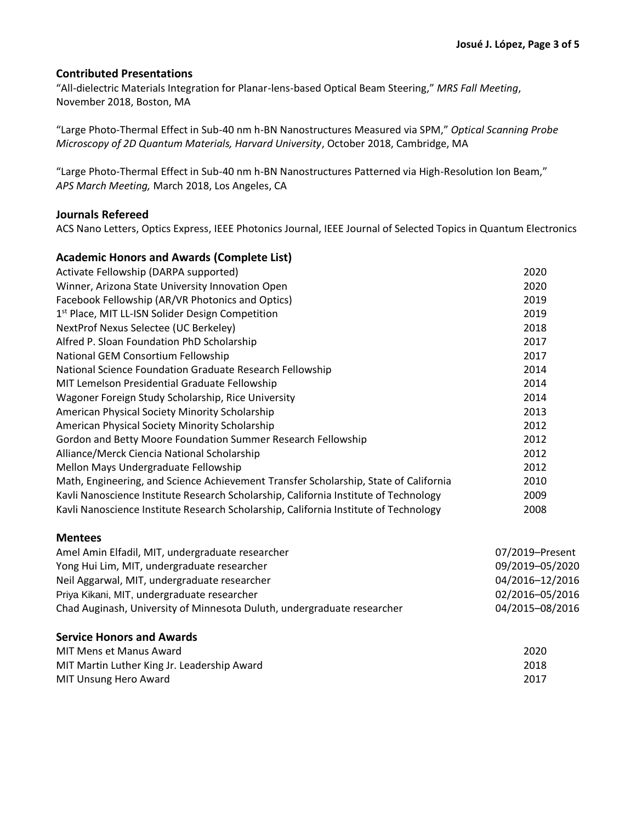### **Contributed Presentations**

"All-dielectric Materials Integration for Planar-lens-based Optical Beam Steering," *MRS Fall Meeting*, November 2018, Boston, MA

"Large Photo-Thermal Effect in Sub-40 nm h-BN Nanostructures Measured via SPM," *Optical Scanning Probe Microscopy of 2D Quantum Materials, Harvard University*, October 2018, Cambridge, MA

"Large Photo-Thermal Effect in Sub-40 nm h-BN Nanostructures Patterned via High-Resolution Ion Beam," *APS March Meeting,* March 2018, Los Angeles, CA

#### **Journals Refereed**

ACS Nano Letters, Optics Express, IEEE Photonics Journal, IEEE Journal of Selected Topics in Quantum Electronics

## **Academic Honors and Awards (Complete List)** Activate Fellowship (DARPA supported) 2020 Winner, Arizona State University Innovation Open 2020 Facebook Fellowship (AR/VR Photonics and Optics) 2019 1 st Place, MIT LL-ISN Solider Design Competition 2019 NextProf Nexus Selectee (UC Berkeley) 2018 Alfred P. Sloan Foundation PhD Scholarship 2017 National GEM Consortium Fellowship 2017 National Science Foundation Graduate Research Fellowship 2014 MIT Lemelson Presidential Graduate Fellowship 2014 Wagoner Foreign Study Scholarship, Rice University 2014 American Physical Society Minority Scholarship 2013 American Physical Society Minority Scholarship 2012 Gordon and Betty Moore Foundation Summer Research Fellowship 2012 Alliance/Merck Ciencia National Scholarship 2012 Mellon Mays Undergraduate Fellowship 2012 Math, Engineering, and Science Achievement Transfer Scholarship, State of California 2010 Kavli Nanoscience Institute Research Scholarship, California Institute of Technology 2009 Kavli Nanoscience Institute Research Scholarship, California Institute of Technology 2008 **Mentees**

| Amel Amin Elfadil, MIT, undergraduate researcher                                                                                                                                                                      | 07/2019-Present<br>09/2019-05/2020<br>04/2016-12/2016<br>02/2016-05/2016<br>04/2015-08/2016 |                                             |      |
|-----------------------------------------------------------------------------------------------------------------------------------------------------------------------------------------------------------------------|---------------------------------------------------------------------------------------------|---------------------------------------------|------|
| Yong Hui Lim, MIT, undergraduate researcher<br>Neil Aggarwal, MIT, undergraduate researcher<br>Priya Kikani, MIT, undergraduate researcher<br>Chad Auginash, University of Minnesota Duluth, undergraduate researcher |                                                                                             |                                             |      |
|                                                                                                                                                                                                                       |                                                                                             | <b>Service Honors and Awards</b>            |      |
|                                                                                                                                                                                                                       |                                                                                             | MIT Mens et Manus Award                     | 2020 |
|                                                                                                                                                                                                                       |                                                                                             | MIT Martin Luther King Jr. Leadership Award | 2018 |
| MIT Unsung Hero Award                                                                                                                                                                                                 | 2017                                                                                        |                                             |      |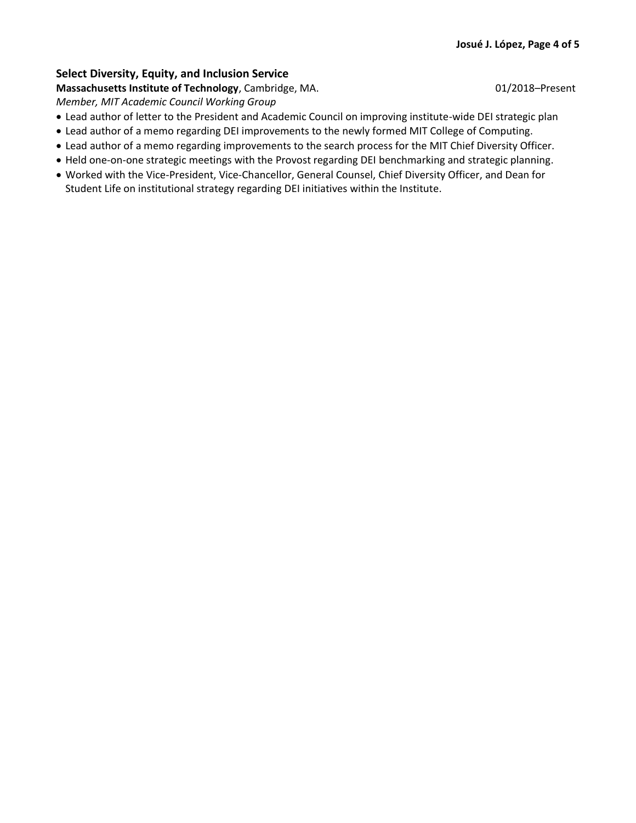### **Select Diversity, Equity, and Inclusion Service**

**Massachusetts Institute of Technology**, Cambridge, MA. 01/2018–Present

*Member, MIT Academic Council Working Group* 

- Lead author of letter to the President and Academic Council on improving institute-wide DEI strategic plan
- Lead author of a memo regarding DEI improvements to the newly formed MIT College of Computing.
- Lead author of a memo regarding improvements to the search process for the MIT Chief Diversity Officer.
- Held one-on-one strategic meetings with the Provost regarding DEI benchmarking and strategic planning.
- Worked with the Vice-President, Vice-Chancellor, General Counsel, Chief Diversity Officer, and Dean for Student Life on institutional strategy regarding DEI initiatives within the Institute.